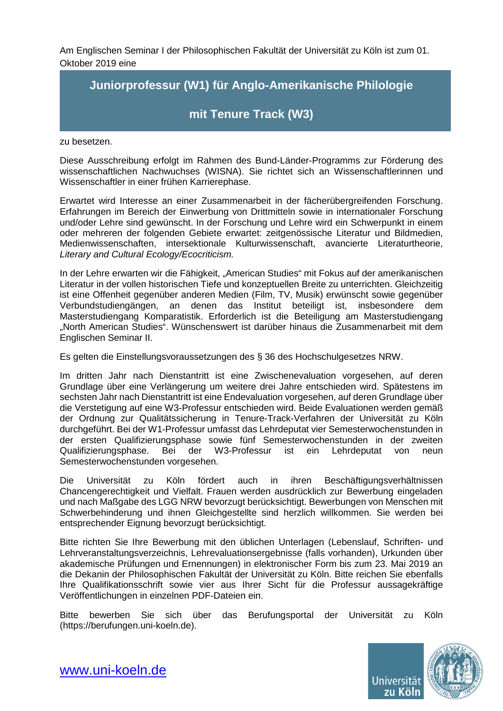Am Englischen Seminar I der Philosophischen Fakultät der Universität zu Köln ist zum 01. Oktober 2019 eine

## **Juniorprofessur (W1) für Anglo-Amerikanische Philologie**

## **mit Tenure Track (W3)**

zu besetzen.

Diese Ausschreibung erfolgt im Rahmen des Bund-Länder-Programms zur Förderung des wissenschaftlichen Nachwuchses (WISNA). Sie richtet sich an Wissenschaftlerinnen und Wissenschaftler in einer frühen Karrierephase.

Erwartet wird Interesse an einer Zusammenarbeit in der fächerübergreifenden Forschung. Erfahrungen im Bereich der Einwerbung von Drittmitteln sowie in internationaler Forschung und/oder Lehre sind gewünscht. In der Forschung und Lehre wird ein Schwerpunkt in einem oder mehreren der folgenden Gebiete erwartet: zeitgenössische Literatur und Bildmedien, Medienwissenschaften, intersektionale Kulturwissenschaft, avancierte Literaturtheorie, *Literary and Cultural Ecology/Ecocriticism.*

In der Lehre erwarten wir die Fähigkeit, "American Studies" mit Fokus auf der amerikanischen Literatur in der vollen historischen Tiefe und konzeptuellen Breite zu unterrichten. Gleichzeitig ist eine Offenheit gegenüber anderen Medien (Film, TV, Musik) erwünscht sowie gegenüber<br>Verbundstudiengängen, an denen das Institut beteiligt ist, insbesondere dem denen das Institut beteiligt ist, insbesondere dem Masterstudiengang Komparatistik. Erforderlich ist die Beteiligung am Masterstudiengang "North American Studies". Wünschenswert ist darüber hinaus die Zusammenarbeit mit dem Englischen Seminar II.

Es gelten die Einstellungsvoraussetzungen des § 36 des Hochschulgesetzes NRW.

Im dritten Jahr nach Dienstantritt ist eine Zwischenevaluation vorgesehen, auf deren Grundlage über eine Verlängerung um weitere drei Jahre entschieden wird. Spätestens im sechsten Jahr nach Dienstantritt ist eine Endevaluation vorgesehen, auf deren Grundlage über die Verstetigung auf eine W3-Professur entschieden wird. Beide Evaluationen werden gemäß der Ordnung zur Qualitätssicherung in Tenure-Track-Verfahren der Universität zu Köln durchgeführt. Bei der W1-Professur umfasst das Lehrdeputat vier Semesterwochenstunden in der ersten Qualifizierungsphase sowie fünf Semesterwochenstunden in der zweiten Qualifizierungsphase. Bei der W3-Professur ist ein Lehrdeputat von neun Semesterwochenstunden vorgesehen.

Die Universität zu Köln fördert auch in ihren Beschäftigungsverhältnissen Chancengerechtigkeit und Vielfalt. Frauen werden ausdrücklich zur Bewerbung eingeladen und nach Maßgabe des LGG NRW bevorzugt berücksichtigt. Bewerbungen von Menschen mit Schwerbehinderung und ihnen Gleichgestellte sind herzlich willkommen. Sie werden bei entsprechender Eignung bevorzugt berücksichtigt.

Bitte richten Sie Ihre Bewerbung mit den üblichen Unterlagen (Lebenslauf, Schriften- und Lehrveranstaltungsverzeichnis, Lehrevaluationsergebnisse (falls vorhanden), Urkunden über akademische Prüfungen und Ernennungen) in elektronischer Form bis zum 23. Mai 2019 an die Dekanin der Philosophischen Fakultät der Universität zu Köln. Bitte reichen Sie ebenfalls Ihre Qualifikationsschrift sowie vier aus Ihrer Sicht für die Professur aussagekräftige Veröffentlichungen in einzelnen PDF-Dateien ein.

Bitte bewerben Sie sich über das Berufungsportal der Universität zu Köln (https://berufungen.uni-koeln.de).



[www.uni-koeln.de](http://www.uni-koeln.de/)